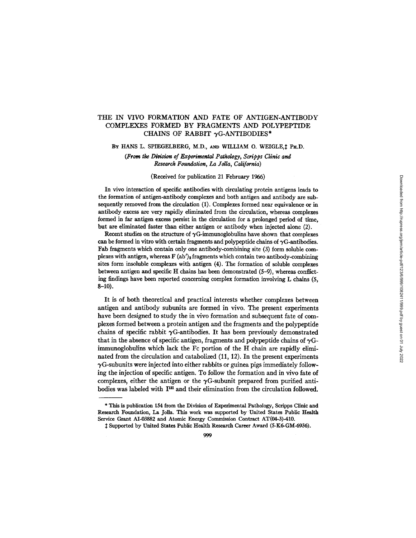# THE IN VIVO FORMATION AND FATE OF ANTIGEN-ANTIBODY COMPLEXES FORMED BY FRAGMENTS AND POLYPEPTIDE CHAINS OF RABBIT  $\gamma$ G-ANTIBODIES\*

BY HANS L. SPIEGELBERG, M.D., AND WILLIAM O. WEIGLE,  $\ddagger$  Ph.D.

*(From the Division of Experimental Pathology, Scripps Clinic and Research Foundation, I~ Jolla, California)* 

### (Received for publication 21 February 1966)

In vivo interaction of specific antibodies with circulating protein antigens leads to the formation of antigen-antibody complexes and both antigen and antibody are subsequently removed from the circulation (1). Complexes formed near equivalence or in antibody excess are very rapidly eliminated from the circulation, whereas complexes formed in far antigen excess persist in the circulation for a prolonged period of time, but are eliminated faster than either antigen or antibody when injected alone (2).

Recent studies on the structure of  $\gamma G$ -immunoglobulins have shown that complexes can be formed in vitro with certain fragments and polypeptide chains of  $\gamma G$ -antibodies. Fab fragments which contain only one antibody-combining site (3) form soluble complexes with antigen, whereas  $F (ab')_2$  fragments which contain two antibody-combining sites form insoluble complexes with antigen (4). The formation of soluble complexes between antigen and specific H chains has been demonstrated (5-9), whereas conflicting findings have been reported concerning complex formation involving L chains (5, 8-10).

It is of both theoretical and practical interests whether complexes between antigen and antibody subunits are formed in vivo. The present experiments have been designed to study the in vivo formation and subsequent fate of complexes formed between a protein antigen and the fragments and the polypeptide chains of specific rabbit  $\gamma$ G-antibodies. It has been previously demonstrated that in the absence of specific antigen, fragments and polypeptide chains of  $\gamma$ Gimmunoglobulins which lack the Fc portion of the H chain are rapidly eliminated from the circulation and catabolized (11, 12). In the present experiments  $\gamma$ G-subunits were injected into either rabbits or guinea pigs immediately following the injection of specific antigen. To follow the formation and in vivo fate of complexes, either the antigen or the  $\gamma$ G-subunit prepared from purified antibodies was labeled with  $I^{181}$  and their elimination from the circulation followed.

<sup>\*</sup> This is publication 154 from the Division of Experimental Pathology, Scripps Clinic and Research Foundation, La Jolla. This work was supported by United States Public Health Service Grant AI-03882 and Atomic Energy Commission Contract AT(04-3)-410.

Supported by United States Public Health Research Career Award (5-KS-GM-6936).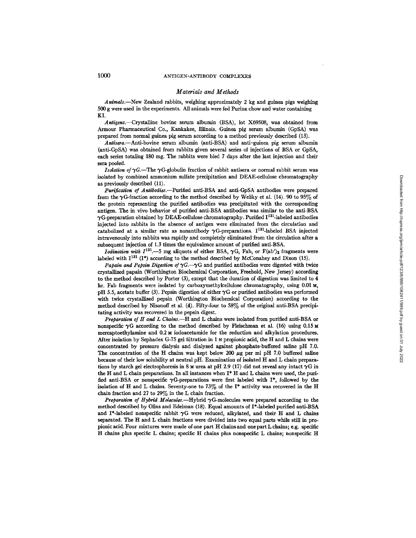#### *Materials and Methods*

*Animals.--New* Zealand rabbits, weighing approximately 2 kg and guinea pigs weighing 500 g were used in the experiments. All animals were fed Purina chow and water containing KI.

*Antigens.--Crystalllne* bovine serum albumin (BSA), lot X69508, was obtained from Armour Pharmaceutical Co., Kankakee, Illinois. Guinea pig serum albumin (GpSA) was prepared from normal guinea pig serum according to a method previously described (13).

*Antisera.--Anri-bovine* serum albumin (anti-BSA) and anti-guinea pig serum albumin (anti-GpSA) was obtained from rabbits given several series of injections of BSA or GpSA, each series totaling 180 mg. The rabbits were bled 7 days after the last injection and their sera pooled.

*Isolation of*  $\gamma$ G.-The  $\gamma$ G-globulin fraction of rabbit antisera or normal rabbit serum was isolated by combined ammonium sulfate precipitation and DEAE-cellulose chromatography as previously described (11).

*Purification of Antibodies.*---Purified anti-BSA and anti-GpSA antibodies were prepared from the  $\gamma$ G-fraction according to the method described by Weliky et al. (14). 90 to 95% of the protein representing the purified antibodies was precipitated with the corresponding antigen. The in vivo behavior of purified anti-BSA antibodies was similar to the anti-BSA  $\gamma$ G-preparation obtained by DEAE-cellulose chromatography. Purified  $I^{131}$ -labeled antibodies injected into rabbits in the absence of antigen were eliminated from the circulation and catabolized at a similar rate as nonantibody  $\gamma$ G-preparations. I<sup>131</sup>-labeled BSA injected intravenously into rabbits was rapidly and completely eliminated from the circulation after a subsequent injection of 1.3 times the equivalence amount of purified anti-BSA.

*Iodination with*  $I^{131}$ .-5 mg aliquots of either BSA,  $\gamma$ G, Fab, or F(ab')<sub>2</sub> fragments were labeled with  $I^{131}$  (I\*) according to the method described by McConahey and Dixon (15).

*Papain and Pepsin Digestion of*  $\gamma G$ .-- $\gamma G$  and purified antibodies were digested with twice crystallized papain (Worthington Biochemical Corporation, Freehold, New Jersey) according to the method described by Porter (3), except that the duration of digestion was limited to 4 hr. Fab fragments were isolated by carboxymethylcellulose chromatography, using  $0.01 \text{ M}$ , pH 5.5, acetate buffer (3). Pepsin digestion of either  $\gamma$ G or purified antibodies was performed with twice crystallized pepsin (Worthington Biochemical Corporation) according to the method described by Nisonoff et al. (4). Fifty-four to 58% of the original anti-BSA precipitating activity was recovered in the pepsin digest.

*Preparation of H and L Chains.--H* and L chains were isolated from purified anti-BSA or nonspecific  $\gamma G$  according to the method described by Fleischman et al. (16) using 0.15 M mereaptoethylamine and 0.2 M iodoacetamide for the reduction and alkylation procedures. After isolation by Sephadex G-75 gel filtration in 1 N propionic acid, the H and L chains were concentrated by pressure dialysis and dialyzed against phosphate-buffered saline pH 7.0. The concentration of the H chains was kept below 200  $\mu$ g per ml pH 7.0 buffered saline because of their low solubility at neutral pH. Examination of isolated H and L chain preparations by starch gel electrophoresis in 8 M urea at pH 2.9 (17) did not reveal any intact  $\gamma G$  in the H and L chain preparations. In all instances when I\* H and L chins were used, the purified anti-BSA or nonspecific  $\gamma$ G-preparations were first labeled with I\*, followed by the isolation of H and L chains. Seventy-one to  $73\%$  of the I\* activity was recovered in the H chain fraction and 27 to 29% in the L chain fraction.

*Preparation of Hybrid Molecules.*--Hybrid  $\gamma$ G-molecules were prepared according to the method described by Olins and Edelman (18). Equal amounts of I\*-labeled purified anti-BSA and I\*-labeled nonspecific rabbit  $\gamma G$  were reduced, alkylated, and their H and L chains separated. The H and L chain fractions were divided into two equal parts while still in propionic acid. Four mixtures were made of one part H chains and one part L chains; e.g. specific H chains plus specific L chains; specific H chains plus nonspeeific L chains; nonspeeific H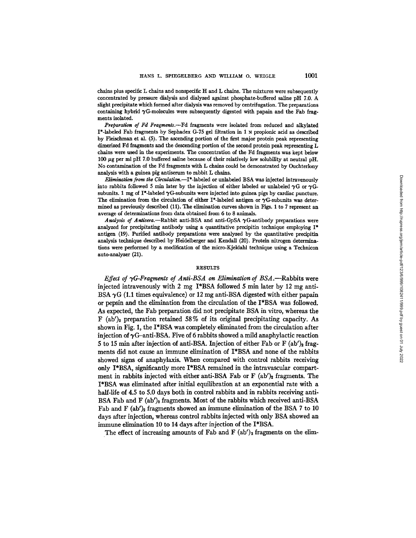chains plus specific L chains and nonspedfic H and L chains. The mixtures were subsequently concentrated by pressure dialysis and dialyzed against phosphate-buffered saline pH 7.0. A slight precipitate which formed after dialysis was removed by centrifugation. The preparations containing hybrid  $\gamma$ G-molecules were subsequently digested with papain and the Fab fragments isolated.

*Preparation of Fd Fragmotts.--Fd* fragments were isolated from reduced and alkylated I\*-labeled Fab fragments by Sephadex G-75 gel filtration in 1 N propionic acid as described by Fleischman et al. (5). The ascending portion of the first major protein peak representing dimetized Fd fragments and the descending portion of the second protein peak representing L chains were used in the experiments. The concentration of the Fd fragments was kept below 100  $\mu$ g per ml pH 7.0 buffered saline because of their relatively low solubility at neutral pH. No contamination of the Fd fragments with L chains could be demonstrated by Ouchterlony analysis with a guinea pig antiserum to rabbit L chains.

*Elimination from the Circulation.*—I<sup>\*</sup>-labeled or unlabeled BSA was injected intravenously into rabbits followed 5 min later by the injection of either labeled or unlabeled  $\gamma G$  or  $\gamma G$ subunits. 1 mg of I\*-labeled  $\gamma$ G-subunits were injected into guinea pigs by cardiac puncture. The elimination from the circulation of either I\*-labeled antigen or  $\gamma$ G-subunits was determined as previously described (11). The elimination curves shown in Figs. 1 to 7 represent an average of determinations from data obtained from 6 to 8 animals.

Analysis of Antisera.--Rabbit anti-BSA and anti-GpSA  $\gamma$ G-antibody preparations were analyzed for precipitating antibody using a quantitative precipitin technique employing I\* antigen (19). Purified antibody preparations were analyzed by the quantitative precipitin analysis technique described by Heidelberger and Kendall (20). Protein nitrogen determinations were performed by a modification of the micro-Kjeldahl technique using a Technicon auto-analyzer (21).

### RESULTS

*Effect of 7G-Fragments of Anti-BSA on Elimination of BSA.--Rabbits* were injected intravenously with 2 mg I\*BSA followed 5 min later by 12 mg anti-BSA  $\gamma$ G (1.1 times equivalence) or 12 mg anti-BSA digested with either papain or pepsin and the elimination from the circulation of the I\*BSA was followed. As expected, the Fab preparation did not precipitate BSA in vitro, whereas the F (ab')<sub>2</sub> preparation retained 58% of its original precipitating capacity. As shown in Fig. 1, the I\*BSA was completely eliminated from the circulation after injection of  $\gamma$ G-anti-BSA. Five of 6 rabbits showed a mild anaphylactic reaction 5 to 15 min after injection of anti-BSA. Injection of either Fab or F  $(ab')_2$  fragments did not cause an immune elimination of I\*BSA and none of the rabbits showed signs of anaphylaxis. When compared with control rabbits receiving only I\*BSA, significantly more I\*BSA remained in the intravascular compartment in rabbits injected with either anti-BSA Fab or F  $(ab')_2$  fragments. The I\*BSA was eliminated after initial equilibration at an exponential rate with a half-life of 4.5 to 5.0 days both in control rabbits and in rabbits receiving anti-BSA Fab and F (ab')<sub>2</sub> fragments. Most of the rabbits which received anti-BSA Fab and F  $(ab')$ <sup>2</sup> fragments showed an immune elimination of the BSA 7 to 10 days after injection, whereas control rabbits injected with only BSA showed an immune elimination 10 to 14 days after injection of the I\*BSA.

The effect of increasing amounts of Fab and F  $(ab')_2$  fragments on the elim-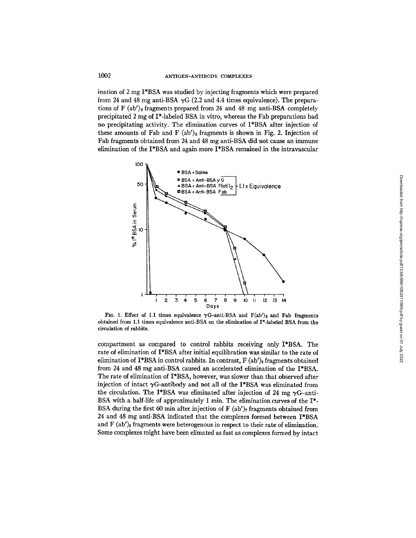ination of 2 mg I\*BSA was studied by injecting fragments which were prepared from 24 and 48 mg anti-BSA  $\gamma G$  (2.2 and 4.4 times equivalence). The preparations of F  $(ab')_2$  fragments prepared from 24 and 48 mg anti-BSA completely precipitated 2 mg of I\*-labeled BSA in vitro, whereas the Fab preparations had no precipitating activity. The elimination curves of I\*BSA after injection of these amounts of Fab and F  $(ab')_2$  fragments is shown in Fig. 2. Injection of Fat) fragments obtained from 24 and 48 mg anti-BSA did not cause an immune elimination of the I\*BSA and again more I\*BSA remained in the intravascular



FIG. 1. Effect of 1.1 times equivalence  $\gamma$ G-anti-BSA and F(ab')<sub>2</sub> and Fab fragments obtained from 1.1 times equivalence anfi-BSA on the elimination of P-labeled BSA from the circulation of rabbits.

compartment as compared to control rabbits receiving only I\*BSA. The rate of elimination of I\*BSA after initial equilibration was similar to the rate of elimination of I\*BSA in control rabbits. In contrast,  $F$  (ab')<sub>2</sub> fragments obtained from 24 and 48 mg anti-BSA caused an accelerated elimination of the I\*BSA. The rate of elimination of I\*BSA, however, was slower than that observed after injection of intact  $\gamma$ G-antibody and not all of the I\*BSA was eliminated from the circulation. The I\*BSA was eliminated after injection of 24 mg  $\gamma$ G-anti-BSA with a half-life of approximately 1 min. The elimination curves of the  $I^*$ -BSA during the first 60 min after injection of  $F (ab')$ , fragments obtained from 24 and 48 mg anti-BSA indicated that the complexes formed between I\*BSA and F  $(ab')_2$  fragments were heterogenous in respect to their rate of elimination. Some complexes might have been elimated as fast as complexes formed by intact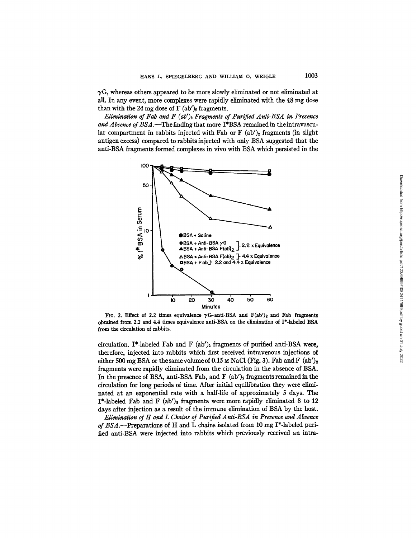$\gamma$ G, whereas others appeared to be more slowly eliminated or not eliminated at all. In any event, more complexes were rapidly eliminated with the 48 mg dose than with the 24 mg dose of F  $(ab')_2$  fragments.

*Elimination of Fab and F (ab')*<sup>2</sup> *Fragments of Purified Anti-BSA in Presence and Absence of BSA.--The* finding that more I\*BSA remained in theintravascular compartment in rabbits injected with Fab or  $F$  (ab')<sub>2</sub> fragments (in slight antigen excess) compared to rabbits injected with only BSA suggested that the anti-BSA fragments formed complexes in vivo with BSA which persisted in the



FIG. 2. Effect of 2.2 times equivalence  $\gamma$ G-anti-BSA and F(ab')<sub>2</sub> and Fab fragments obtained from 2.2 and 4.4 times equivalence anti-BSA on the elimination of I\*-labeled BSA from the circulation of rabbits.

circulation. I\*-labeled Fab and F  $(ab')_2$  fragments of purified anti-BSA were, therefore, injected into rabbits which first received intravenous injections of either 500 mg BSA or the same volume of 0.15  $\mu$  NaCl (Fig. 3). Fab and F (ab')<sub>2</sub> fragments were rapidly eliminated from the circulation in the absence of BSA. In the presence of BSA, anti-BSA Fab, and F  $(ab')_2$  fragments remained in the circulation for long periods of time. After initial equilibration they were eliminated at an exponential rate with a half-life of approximately 5 days. The  $I^*$ -labeled Fab and F (ab')<sub>2</sub> fragments were more rapidly eliminated 8 to 12 days after injection as a result of the immune elimination of BSA by the host.

*Elimination of H and L Chains of Purified Anti-BSA in Presence and Absence of BSA.--Preparations* of H and L chains isolated from 10 mg I\*-labeled purified anti-BSA were injected into rabbits which previously received an intra-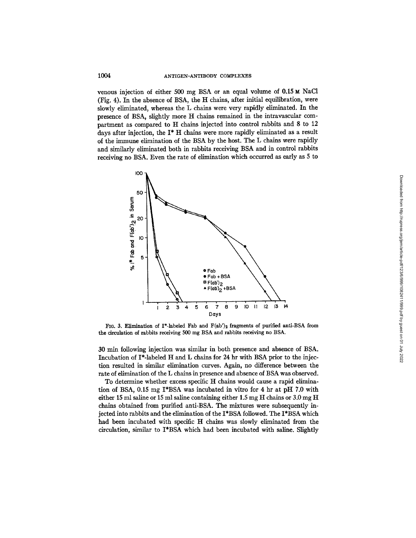# 1004 ANTIGEN-ANTIBODY COMPLEXES

venous injection of either 500 mg BSA or an equal volume of  $0.15 \text{ m}$  NaCl (Fig. 4). In the absence of BSA, the H chains, after initial equilibration, were slowly eliminated, whereas the L chains were very rapidly eliminated. In the presence of BSA, slightly more H chains remained in the intravascular compartment as compared to H chains injected into control rabbits and 8 to 12 days after injection, the I\* H chains were more rapidly eliminated as a result of the immune elimination of the BSA by the host. The L chains were rapidly and similarly eliminated both in rabbits receiving BSA and in control rabbits receiving no BSA. Even the rate of elimination which occurred as early as 5 to



FIG. 3. Elimination of I\*-labeled Fab and  $F(ab')_2$  fragments of purified anti-BSA from the circulation of rabbits receiving 500 mg BSA and rabbits receiving no BSA.

30 min following injection was similar in both presence and absence of BSA. Incubation of I\*-labeled H and L chains for 24 hr with BSA prior to the injection resulted in similar elimination curves. Again, no difference between the rate of elimination of the L chains in presence and absence of BSA was observed.

To determine whether excess specific H chains would cause a rapid elimination of BSA, 0.15 mg I\*BSA was incubated in vitro for 4 hr at pH 7.0 with either 15 ml saline or 15 ml saline containing either 1.5 mg H chains or  $3.0 \text{ mg H}$ chains obtained from purified anti-BSA. The mixtures were subsequently injected into rabbits and the elimination of the I\*BSA followed. The I\*BSA which had been incubated with specific H chains was slowly eliminated from the circulation, similar to I\*BSA which had been incubated with saline. Slightly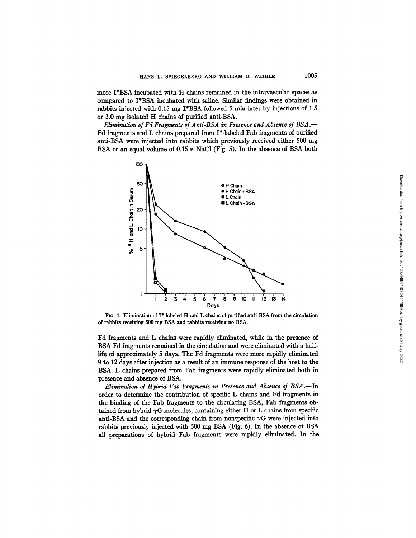more I\*BSA incubated with H chains remained in the intravascular spaces as compared to I\*BSA incubated with saline. Similar findings were obtained in rabbits injected with 0.15 mg I\*BSA followed 5 min later by injections of 1.5 or 3.0 mg isolated H chains of purified anti-BSA.

*Elimination of Fd Fragments of Anti-BSA in Presence and Absence of BSA.--*  Fd fragments and L chains prepared from I\*-labeled Fab fragments of purified anti-BSA were injected into rabbits which previously received either 500 mg BSA or an equal volume of 0.15 M NaCl (Fig. 5). In the absence of BSA both



FIG. 4. Elimination of I\*-labeled H and L chains of purified anti-BSA from the circulation of rabbits receiving 500 mg BSA and rabbits receiving no BSA.

Fd fragments and L chains were rapidly eliminated, while in the presence of BSA Fd fragments remained in the circulation and were eliminated with a halflife of approximately 5 days. The Fd fragments were more rapidly eliminated 9 to 12 days after injection as a result of an immune response of the host to the BSA. L chains prepared from Fab fragments were rapidly eliminated both in presence and absence of BSA.

*Elimination of Hybrid Fob Fragments in Presence and Absence of BSA.--In*  order to determine the contribution of specific L chains and Fd fragments in the binding of the Fab fragments to the circulating BSA, Fab fragments obtained from hybrid  $\gamma$ G-molecules, containing either H or L chains from specific anti-BSA and the corresponding chain from nonspecific  $\gamma G$  were injected into rabbits previously injected with 500 mg BSA (Fig. 6). In the absence of BSA all preparations of hybrid Fab fragments were rapidly eliminated. In the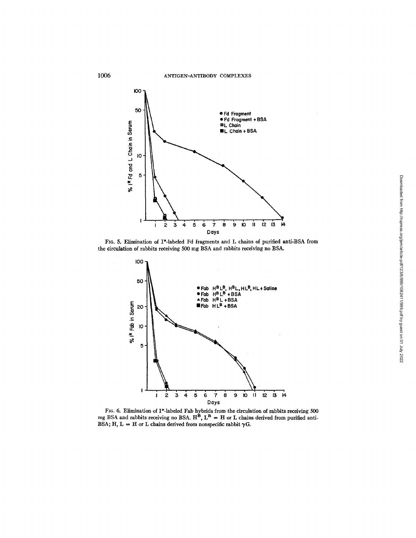

FIG. 5. Elimination of I\*-labeled Fd fragments and L chains of purified anti-BSA from the circulation of rabbits receiving 500 mg BSA and rabbits receiving no BSA.



FIG. 6. Elimination of I\*-labeled Fab hybrids from the circulation of rabbits receiving 500 mg BSA and rabbits receiving no BSA.  $H^B$ ,  $L^B = H$  or L chains derived from purified anti-BSA; H, L = H or L chains derived from nonspecific rabbit  $\gamma$ G.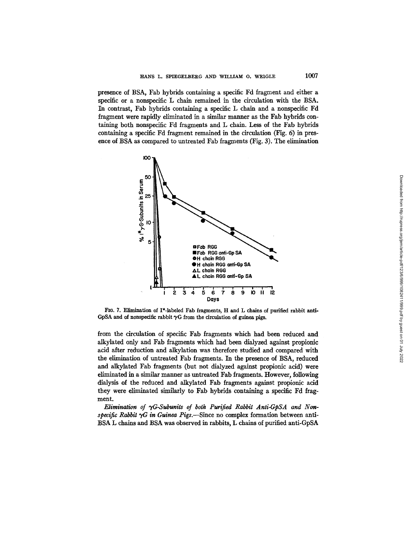presence of BSA, Fab hybrids containing a specific Fd fragment and either a specific or a nonspecific L chain remained in the circulation with the BSA. In contrast, Fab hybrids containing a specific L chain and a nonspecific Fd fragment were rapidly eliminated in a similar manner as the Fab hybrids containing both nonspecific Fd fragments and L chain. Less of the Fab hybrids containing a specific Fd fragment remained in the circulation (Fig. 6) in pres-



FIG. 7. Elimination of I\*-labeled Fab fragments, H and L chains of purified rabbit anti-GpSA and of nonspecific rabbit  $\gamma G$  from the circulation of guinea pigs.

from the circulation of specific Fab fragments which had been reduced and alkylated only and Fab fragments which had been dialyzed against propionic acid after reduction and alkylation was therefore studied and compared with the elimination of untreated Fab fragments. In the presence of BSA, reduced and alkylated Fab fragments (but not dialyzed against propionic acid) were eliminated in a similar manner as untreated Fab fragments. However, following dialysis of the reduced and alkylated Fab fragments against propionic acid they were eliminated similarly to Fab hybrids containing a specific Fd fragment.

Elimination of  $\gamma G$ -Subunits of both Purified Rabbit Anti-GpSA and Non*specific Rabbit*  $\gamma G$  *in Guinea Pigs.*—Since no complex formation between anti-BSA L chains and BSA was observed in rabbits, L chains of purified anti-GpSA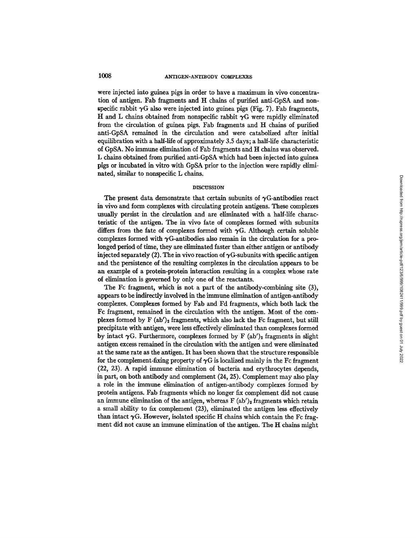were injected into guinea pigs in order to have a maximum in vivo concentration of antigen. Fab fragments and H chains of purified anti-GpSA and nonspecific rabbit  $\gamma G$  also were injected into guinea pigs (Fig. 7). Fab fragments, H and L chains obtained from nonspecific rabbit  $\gamma G$  were rapidly eliminated from the circulation of guinea pigs. Fab fragments and H chains of purified anti-GpSA remained in the circulation and were catabolized after initial equilibration with a half-life of approximately 3.5 days; a half-life characteristic of GpSA. No immune elimination of Fab fragments and H chains was observed. L chains obtained from purified anti-GpSA which had been injected into guinea pigs or incubated in vitro with GpSA prior to the injection were rapidly eliminated, similar to nonspecific L chains.

# **DISCUSSION**

The present data demonstrate that certain subunits of  $\gamma G$ -antibodies react in vivo and form complexes with circulating protein antigens. These complexes usually persist in the circulation and are eliminated with a half-life characteristic of the antigen. The in vivo fate of complexes formed with subunits differs from the fate of complexes formed with  $\gamma$ G. Although certain soluble complexes formed with  $\gamma$ G-antibodies also remain in the circulation for a prolonged period of time, they are eliminated faster than either antigen or antibody injected separately (2). The in vivo reaction of  $\gamma$ G-subunits with specific antigen and the persistence of the resulting complexes in the circulation appears to be an example of a protein-protein interaction resulting in a complex whose rate of elimination is governed by only one of the reactants.

The Fc fragment, which is not a part of the antibody-combining site (3), appears to be indirectly involved in the immune elimination of antigen-antibody complexes. Complexes formed by Fab and Fd fragments, which both lack the Fc fragment, remained in the circulation with the antigen. Most of the complexes formed by  $F (ab')_2$  fragments, which also lack the Fc fragment, but still precipitate with antigen, were less effectively eliminated than complexes formed by intact  $\gamma G$ . Furthermore, complexes formed by F (ab')<sub>2</sub> fragments in slight antigen excess remained in the circulation with the antigen and were eliminated at the same rate as the antigen. It has been shown that the structure responsible for the complement-fixing property of  $\gamma G$  is localized mainly in the Fc fragment (22, 23). A rapid immune elimination of bacteria and erythrocytes depends, in part, on both antibody and complement (24, 25). Complement may also play a role in the immune elimination of antigen-antibody complexes formed by protein antigens. Fab fragments which no longer fix complement did not cause an immune elimination of the antigen, whereas  $F (ab')_2$  fragments which retain a small ability to fix complement (23), eliminated the antigen less effectively than intact  $\gamma G$ . However, isolated specific H chains which contain the Fc fragment did not cause an immune elimination of the antigen. The H chains might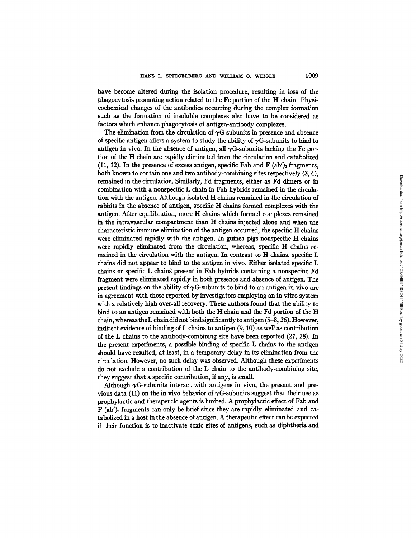have become altered during the isolation procedure, resulting in loss of the phagocytosis promoting action related to the Fc portion of the H chain. Physicochemical changes of the antibodies occurring during the complex formation such as the formation of insoluble complexes also have to be considered as factors which enhance phagocytosis of antigen-antibody complexes.

The elimination from the circulation of  $\gamma$ G-subunits in presence and absence of specific antigen offers a system to study the ability of  $\gamma$ G-subunits to bind to antigen in vivo. In the absence of antigen, all  $\gamma$ G-subunits lacking the Fc portion of the H chain are rapidly eliminated from the circulation and catabolized (11, 12). In the presence of excess antigen, specific Fab and F (ab')<sub>2</sub> fragments, both known to contain one and two antibody-combining sites respectively (3, 4), remained in the circulation. Similarly, Fd fragments, either as Fd dimers or in combination with a nonspecific L chain in Fab hybrids remained in the circulation with the antigen. Although isolated H chains remained in the circulation of rabbits in the absence of antigen, specific H chains formed complexes with the antigen. After equilibration, more H chains which formed complexes remained in the intravascular compartment than H chains injected alone and when the characteristic immune elimination of the antigen occurred, the specific H chains were eliminated rapidly with the antigen. In guinea pigs nonspecific H chains were rapidly eliminated from the circulation, whereas, specific H chains remained in the circulation with the antigen. In contrast to H chains, specific L chains did not appear to bind to the antigen in vivo. Either isolated specific L chains or specific L chains present in Fab hybrids containing a nonspecific Fd fragment were eliminated rapidly in both presence and absence of antigen. The present findings on the ability of  $\gamma G$ -subunits to bind to an antigen in vivo are in agreement with those reported by investigators employing an in vitro system with a relatively high over-all recovery. These authors found that the ability to bind to an antigen remained with both the H chain and the Fd portion of the H chain, whereas theL chain did not bind significantly to antigen (5-8, 26). However, indirect evidence of binding of L chains to antigen (9, 10) as well as contribution of the L chains to the antibody-combining site have been reported (27, 28). In the present experiments, a possible binding of specific L chains to the antigen should have resulted, at least, in a temporary delay in its elimination from the circulation. However, no such delay was observed. Although these experiments do not exclude a contribution of the L chain to the antibody-combining site, they suggest that a specific contribution, if any, is small.

Although  $\gamma G$ -subunits interact with antigens in vivo, the present and previous data (11) on the in vivo behavior of  $\gamma$ G-subunits suggest that their use as prophylactic and therapeutic agents is limited. A prophylactic effect of Fab and  $F (ab')_2$  fragments can only be brief since they are rapidly eliminated and catabolized in a host in the absence of antigen. A therapeutic effect can be expected if their function is to inactivate toxic sites of antigens, such as diphtheria and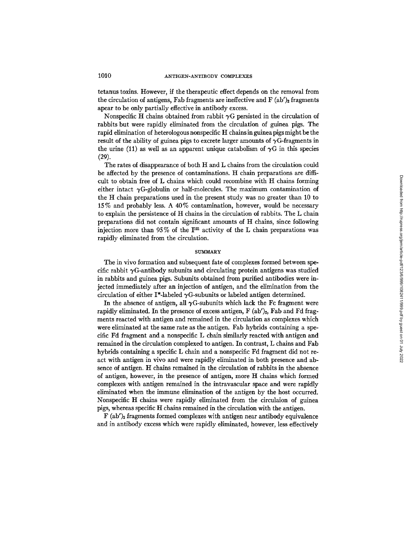tetanus toxins. However, if the therapeutic effect depends on the removal from the circulation of antigens, Fab fragments are ineffective and  $\mathbf{F}$  (ab')<sub>2</sub> fragments apear to be only partially effective in antibody excess.

Nonspecific H chains obtained from rabbit  $\gamma G$  persisted in the circulation of rabbits but were rapidly eliminated from the circulation of guinea pigs. The rapid elimination of heterologous nonspecific H chainsin guinea pigs might be the result of the ability of guinea pigs to excrete larger amounts of  $\gamma G$ -fragments in the urine (11) as well as an apparent unique catabolism of  $\gamma G$  in this species (29).

The rates of disappearance of both H and L chains from the circulation could be affected by the presence of contaminations. H chain preparations are difficult to obtain free of L chains which could recombine with H chains forming either intact  $\gamma$ G-globulin or half-molecules. The maximum contamination of the H chain preparations used in the present study was no greater than 10 to 15% and probably less. A 40% contamination, however, would be necessary to explain the persistence of H chains in the circulation of rabbits. The L chain preparations did not contain significant amounts of H chains, since following injection more than 95% of the  $\Gamma^{31}$  activity of the L chain preparations was rapidly eliminated from the circulation.

#### **SUMMARY**

The in vivo formation and subsequent fate of complexes formed betwecn specific rabbit  $\gamma$ G-antibody subunits and circulating protein antigens was studied in rabbits and guinea pigs. Subunits obtained from purified antibodies were injected immediately after an injection of antigen, and the elimination from the circulation of either I\*-labeled  $\gamma$ G-subunits or labeled antigen determined.

In the absence of antigen, all  $\gamma$ G-subunits which lack the Fc fragment were rapidly eliminated. In the presence of excess antigen,  $F (ab')_2$ , Fab and Fd fragments reacted with antigen and remained in the circulation as complexes which were eliminated at the same rate as the antigen. Fab hybrids containing a specific Fd fragment and a nonspecific L chain similarly reacted with antigen and remained in the circulation complexed to antigen. In contrast, L chains and Fab hybrids containing a specific L chain and a nonspecific Fd fragment did not react with antigen in vivo and were rapidly eliminated in both presence and absence of antigen. H chains remained in the circulation of rabbits in the absence of antigen, however, in the presence of antigen, more  $H$  chains which formed complexes with antigen remained in the intravascular space and were rapidly eliminated when the immune elimination of the antigen by the host occurred. Nonspecific H chains were rapidly eliminated from the circulaion of guinea pigs, whereas specific H chains remained in the circulation with the antigen.

 $F (ab')_2$  fragments formed complexes with antigen near antibody equivalence and in antibody excess which were rapidly eliminated, however, less effectively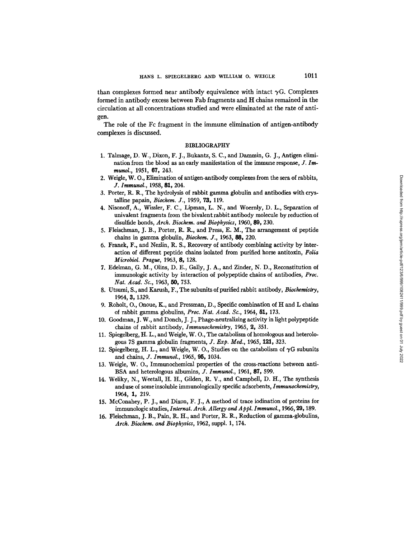than complexes formed near antibody equivalence with intact  $\gamma$ G. Complexes formed in antibody excess between Fab fragments and H chains remained in the circulation at all concentrations studied and were eliminated at the rate of antigen.

The role of the Fc fragment in the immune elimination of antigen-antibody complexes is discussed.

#### BIBLIOGRAPHY

- 1. Talmage, D. W., Dixon, F. J., Bukantz, S. C., and Dammin, G. J., Antigen elimination from the blood as an early manifestation of the immune response,  $J. Im$ *munol.,* 1951, 67, 243.
- 2. Weigle, W. O., Elimination of antigen-antibody complexes from the sera of rabbits, *J. Immunol.,* 1958, 81, 204.
- 3. Porter, R. R., The hydrolysis of rabbit gamma globulin and antibodies with crystalline papain, *Biochem. J.*, 1959, 73, 119.
- 4. Nisonoff, A., Wissler, F. C., Lipman, L. N., and Woernly, D. L., Separation of univalent fragments from the bivalent rabbit antibody molecule by reduction of disulfide bonds, *Arch. Biochem. and Biophysics,* 1960, 89, 230.
- 5. Fleischman, J. B., Porter, R. R., and Press, E. M., The arrangement of pepfide chains in gamma globulin, *Biochem. J.,* 1963, 88, 220.
- 6. Franek, F., and Nezlin, R. S., Recovery of antibody combining activity by interaction of different peptide chains isolated from purified horse antitoxin, *Folia Microbiol. Prague,* 1963, 8, 128.
- 7. Edelman, G. M., Olins, D. E., Gaily, J. A., and Zinder, N. D., Reconstitution of immunologic activity by interaction of polypeptide chains of antibodies, *Proc. Nat. Acad. Sc.,* 1963, 50, 753.
- 8. Utsumi, S., and Karush, F., The subunits of purified rabbit antibody, *Biochemistry,*  1964, 3, 1329.
- 9. Roholt, O., Onoue, K., and Pressman, D., Specific combination of H and L chains of rabbit gamma globulins, *Proc. Nat. Acad. Sc.,* 1964, 51, 173.
- 10. Goodman, J. W., and Donch, J. J., Phage-neutralizing activity in light polypeptide chains of rabbit antibody, *Immunochemistry,* 1965, 2, 351.
- 11. Spiegelberg, H. *L.,* and Weigle, W. 0., The catabolism of homologous and heterologons 7S gamma globulin fragments, *J. Exp. Med.,* 1965, 19.1, 323.
- 12. Spiegelberg, H. L., and Weigle, W. O., Studies on the catabolism of  $\gamma G$  subunits and chains, *J. Immunol.,* 1965, **95,** 1034.
- 13. Weigle, W. O., Immunochemical properties of the cross-reactions between anti-BSA and heterologous albumins, *J. Immunol.*, 1961, 87, 599.
- 14. Weliky, N., WeetaU, H. H., Gilden, R. V., and Campbell, D. H., The synthesis and use of some insoluble immunologically specific adsorbents, *Immunochemistry,*  1964, 1, 219.
- 15. McConahey, P. J., and Dixon, F. J., A method of trace iodination of proteins for immunologic studies, *Internat. Arch. Allergy and A ppl. Imraunol.,* 1966, 29, 189.
- 16. Fleischman, J. B., Pain, R. H., and Porter, R. R., Reduction of gamma-globulins, *Arch. Biochem. and Biophysics,* 1962, suppl. 1, 174.